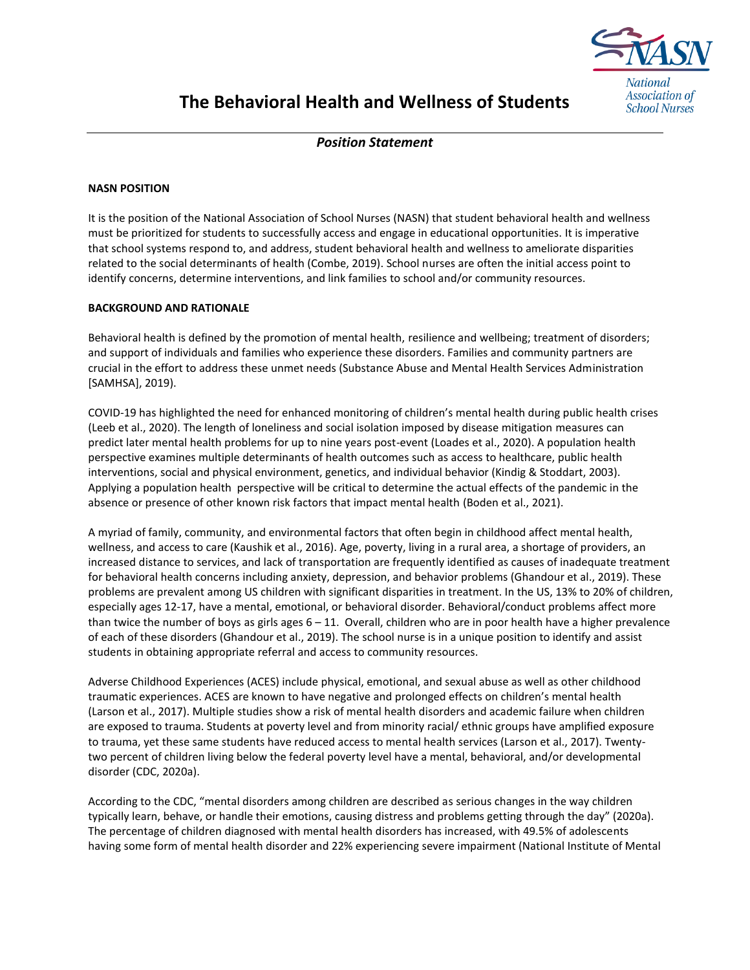

## **The Behavioral Health and Wellness of Students**

*Position Statement*

## **NASN POSITION**

It is the position of the National Association of School Nurses (NASN) that student behavioral health and wellness must be prioritized for students to successfully access and engage in educational opportunities. It is imperative that school systems respond to, and address, student behavioral health and wellness to ameliorate disparities related to the social determinants of health (Combe, 2019). School nurses are often the initial access point to identify concerns, determine interventions, and link families to school and/or community resources.

## **BACKGROUND AND RATIONALE**

Behavioral health is defined by the promotion of mental health, resilience and wellbeing; treatment of disorders; and support of individuals and families who experience these disorders. Families and community partners are crucial in the effort to address these unmet needs (Substance Abuse and Mental Health Services Administration [SAMHSA], 2019).

COVID-19 has highlighted the need for enhanced monitoring of children's mental health during public health crises (Leeb et al., 2020). The length of loneliness and social isolation imposed by disease mitigation measures can predict later mental health problems for up to nine years post-event (Loades et al., 2020). A population health perspective examines multiple determinants of health outcomes such as access to healthcare, public health interventions, social and physical environment, genetics, and individual behavior (Kindig & Stoddart, 2003). Applying a population health perspective will be critical to determine the actual effects of the pandemic in the absence or presence of other known risk factors that impact mental health (Boden et al., 2021).

A myriad of family, community, and environmental factors that often begin in childhood affect mental health, wellness, and access to care (Kaushik et al., 2016). Age, poverty, living in a rural area, a shortage of providers, an increased distance to services, and lack of transportation are frequently identified as causes of inadequate treatment for behavioral health concerns including anxiety, depression, and behavior problems (Ghandour et al., 2019). These problems are prevalent among US children with significant disparities in treatment. In the US, 13% to 20% of children, especially ages 12-17, have a mental, emotional, or behavioral disorder. Behavioral/conduct problems affect more than twice the number of boys as girls ages  $6 - 11$ . Overall, children who are in poor health have a higher prevalence of each of these disorders (Ghandour et al., 2019). The school nurse is in a unique position to identify and assist students in obtaining appropriate referral and access to community resources.

Adverse Childhood Experiences (ACES) include physical, emotional, and sexual abuse as well as other childhood traumatic experiences. ACES are known to have negative and prolonged effects on children's mental health (Larson et al., 2017). Multiple studies show a risk of mental health disorders and academic failure when children are exposed to trauma. Students at poverty level and from minority racial/ ethnic groups have amplified exposure to trauma, yet these same students have reduced access to mental health services (Larson et al., 2017). Twentytwo percent of children living below the federal poverty level have a mental, behavioral, and/or developmental disorder (CDC, 2020a).

According to the CDC, "mental disorders among children are described as serious changes in the way children typically learn, behave, or handle their emotions, causing distress and problems getting through the day" (2020a). The percentage of children diagnosed with mental health disorders has increased, with 49.5% of adolescents having some form of mental health disorder and 22% experiencing severe impairment (National Institute of Mental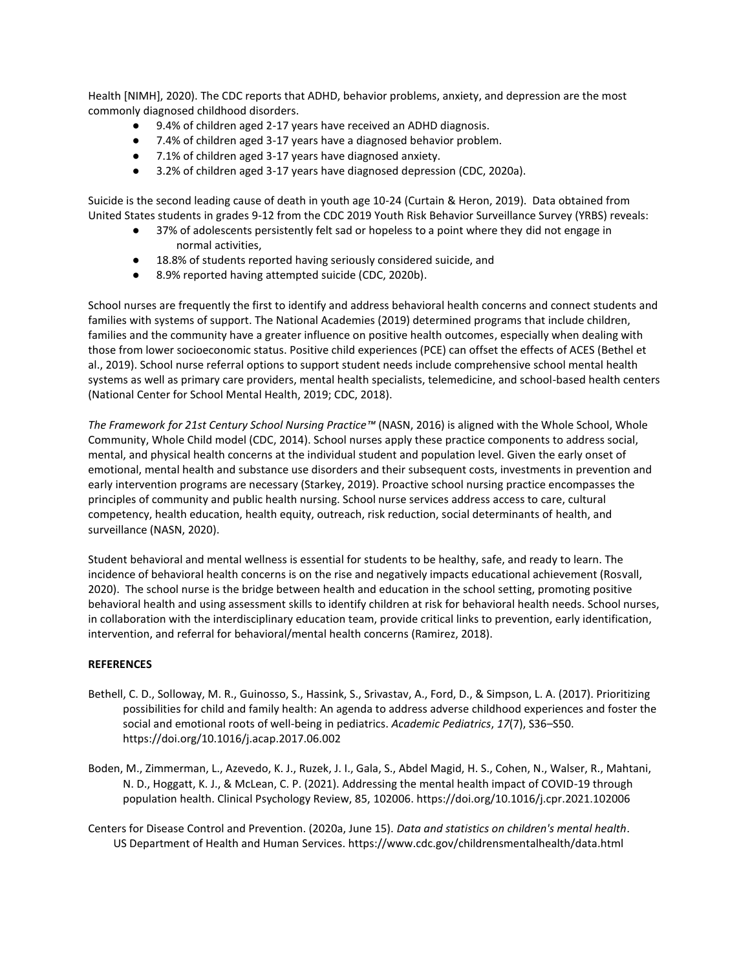Health [NIMH], 2020). The CDC reports that ADHD, behavior problems, anxiety, and depression are the most commonly diagnosed childhood disorders.

- 9.4% of children aged 2-17 years have received an ADHD diagnosis.
- 7.4% of children aged 3-17 years have a diagnosed behavior problem.
- 7.1% of children aged 3-17 years have diagnosed anxiety.
- 3.2% of children aged 3-17 years have diagnosed depression (CDC, 2020a).

Suicide is the second leading cause of death in youth age 10-24 (Curtain & Heron, 2019). Data obtained from United States students in grades 9-12 from the CDC 2019 Youth Risk Behavior Surveillance Survey (YRBS) reveals:

- 37% of adolescents persistently felt sad or hopeless to a point where they did not engage in normal activities,
- 18.8% of students reported having seriously considered suicide, and
- 8.9% reported having attempted suicide (CDC, 2020b).

School nurses are frequently the first to identify and address behavioral health concerns and connect students and families with systems of support. The National Academies (2019) determined programs that include children, families and the community have a greater influence on positive health outcomes, especially when dealing with those from lower socioeconomic status. Positive child experiences (PCE) can offset the effects of ACES (Bethel et al., 2019). School nurse referral options to support student needs include comprehensive school mental health systems as well as primary care providers, mental health specialists, telemedicine, and school-based health centers (National Center for School Mental Health, 2019; CDC, 2018).

*The Framework for 21st Century School Nursing Practice™* (NASN, 2016) is aligned with the Whole School, Whole Community, Whole Child model (CDC, 2014). School nurses apply these practice components to address social, mental, and physical health concerns at the individual student and population level. Given the early onset of emotional, mental health and substance use disorders and their subsequent costs, investments in prevention and early intervention programs are necessary (Starkey, 2019). Proactive school nursing practice encompasses the principles of community and public health nursing. School nurse services address access to care, cultural competency, health education, health equity, outreach, risk reduction, social determinants of health, and surveillance (NASN, 2020).

Student behavioral and mental wellness is essential for students to be healthy, safe, and ready to learn. The incidence of behavioral health concerns is on the rise and negatively impacts educational achievement (Rosvall, 2020). The school nurse is the bridge between health and education in the school setting, promoting positive behavioral health and using assessment skills to identify children at risk for behavioral health needs. School nurses, in collaboration with the interdisciplinary education team, provide critical links to prevention, early identification, intervention, and referral for behavioral/mental health concerns (Ramirez, 2018).

## **REFERENCES**

- Bethell, C. D., Solloway, M. R., Guinosso, S., Hassink, S., Srivastav, A., Ford, D., & Simpson, L. A. (2017). Prioritizing possibilities for child and family health: An agenda to address adverse childhood experiences and foster the social and emotional roots of well-being in pediatrics. *Academic Pediatrics*, *17*(7), S36–S50. https://doi.org/10.1016/j.acap.2017.06.002
- Boden, M., Zimmerman, L., Azevedo, K. J., Ruzek, J. I., Gala, S., Abdel Magid, H. S., Cohen, N., Walser, R., Mahtani, N. D., Hoggatt, K. J., & McLean, C. P. (2021). Addressing the mental health impact of COVID-19 through population health. Clinical Psychology Review, 85, 102006. https://doi.org/10.1016/j.cpr.2021.102006

Centers for Disease Control and Prevention. (2020a, June 15). *Data and statistics on children's mental health*. US Department of Health and Human Services. https://www.cdc.gov/childrensmentalhealth/data.html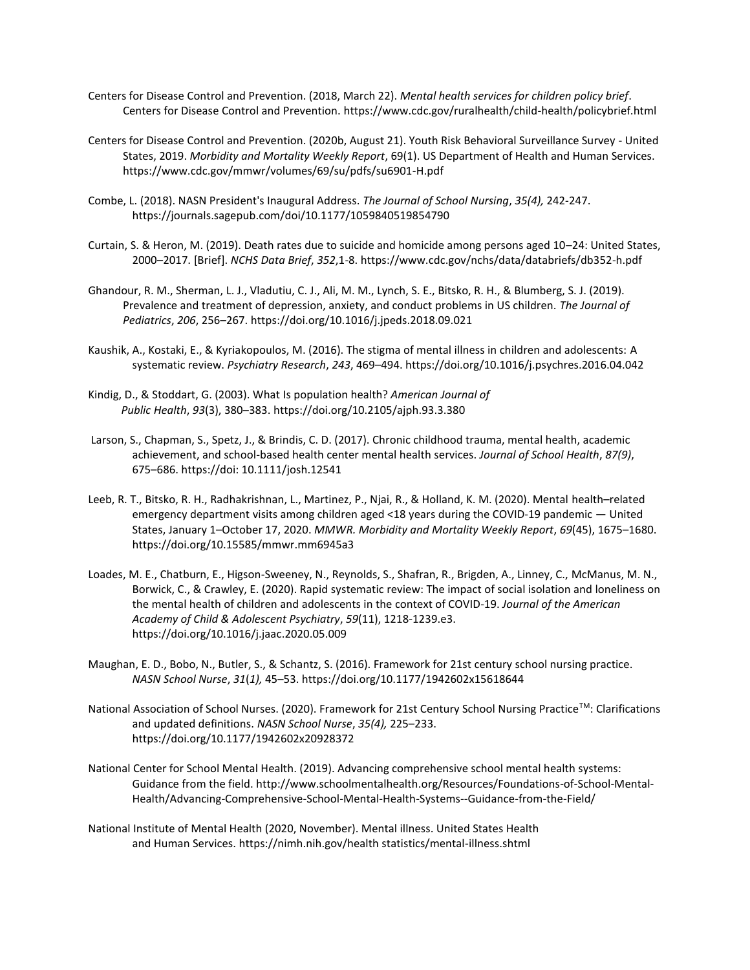- Centers for Disease Control and Prevention. (2018, March 22). *Mental health services for children policy brief*. Centers for Disease Control and Prevention. https://www.cdc.gov/ruralhealth/child-health/policybrief.html
- Centers for Disease Control and Prevention. (2020b, August 21). Youth Risk Behavioral Surveillance Survey United States, 2019. *Morbidity and Mortality Weekly Report*, 69(1). US Department of Health and Human Services. https://www.cdc.gov/mmwr/volumes/69/su/pdfs/su6901-H.pdf
- Combe, L. (2018). NASN President's Inaugural Address. *The Journal of School Nursing*, *35(4),* 242-247. https://journals.sagepub.com/doi/10.1177/1059840519854790
- Curtain, S. & Heron, M. (2019). Death rates due to suicide and homicide among persons aged 10–24: United States, 2000–2017. [Brief]. *NCHS Data Brief*, *352*,1-8. https://www.cdc.gov/nchs/data/databriefs/db352-h.pdf
- Ghandour, R. M., Sherman, L. J., Vladutiu, C. J., Ali, M. M., Lynch, S. E., Bitsko, R. H., & Blumberg, S. J. (2019). Prevalence and treatment of depression, anxiety, and conduct problems in US children. *The Journal of Pediatrics*, *206*, 256–267. https://doi.org/10.1016/j.jpeds.2018.09.021
- Kaushik, A., Kostaki, E., & Kyriakopoulos, M. (2016). The stigma of mental illness in children and adolescents: A systematic review. *Psychiatry Research*, *243*, 469–494. https://doi.org/10.1016/j.psychres.2016.04.042
- Kindig, D., & Stoddart, G. (2003). What Is population health? *American Journal of Public Health*, *93*(3), 380–383. https://doi.org/10.2105/ajph.93.3.380
- Larson, S., Chapman, S., Spetz, J., & Brindis, C. D. (2017). Chronic childhood trauma, mental health, academic achievement, and school-based health center mental health services. *Journal of School Health*, *87(9)*, 675–686. https://doi: 10.1111/josh.12541
- Leeb, R. T., Bitsko, R. H., Radhakrishnan, L., Martinez, P., Njai, R., & Holland, K. M. (2020). Mental health–related emergency department visits among children aged <18 years during the COVID-19 pandemic — United States, January 1–October 17, 2020. *MMWR. Morbidity and Mortality Weekly Report*, *69*(45), 1675–1680. https://doi.org/10.15585/mmwr.mm6945a3
- Loades, M. E., Chatburn, E., Higson-Sweeney, N., Reynolds, S., Shafran, R., Brigden, A., Linney, C., McManus, M. N., Borwick, C., & Crawley, E. (2020). Rapid systematic review: The impact of social isolation and loneliness on the mental health of children and adolescents in the context of COVID-19. *Journal of the American Academy of Child & Adolescent Psychiatry*, *59*(11), 1218-1239.e3. https://doi.org/10.1016/j.jaac.2020.05.009
- Maughan, E. D., Bobo, N., Butler, S., & Schantz, S. (2016). Framework for 21st century school nursing practice. *NASN School Nurse*, *31*(*1),* 45–53. https://doi.org/10.1177/1942602x15618644
- National Association of School Nurses. (2020). Framework for 21st Century School Nursing Practice™: Clarifications and updated definitions. *NASN School Nurse*, *35(4),* 225–233. https://doi.org/10.1177/1942602x20928372
- National Center for School Mental Health. (2019). Advancing comprehensive school mental health systems: Guidance from the field. http://www.schoolmentalhealth.org/Resources/Foundations-of-School-Mental[-](http://www.schoolmentalhealth.org/Resources/Foundations-of-School-Mental-)Health/Advancing-Comprehensive-School-Mental-Health-Systems--Guidance-from-the-Field/
- National Institute of Mental Health (2020, November). Mental illness. United States Health and Human Services. https://nimh.nih.gov/health statistics/mental-illness.shtml